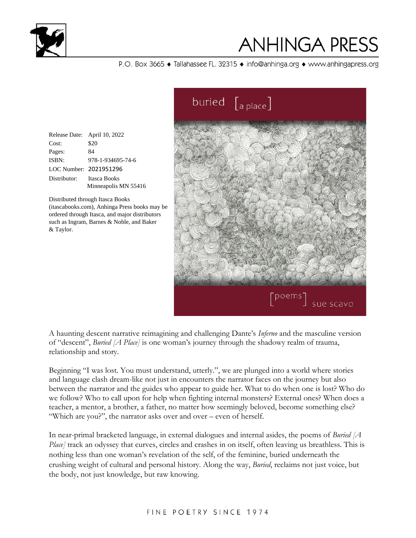

#### P.O. Box 3665 • Tallahassee FL. 32315 • info@anhinga.org • www.anhingapress.org

| buried $\left[\begin{smallmatrix} 1 & 0 \\ 0 & 0 \end{smallmatrix}\right]$ |                 |
|----------------------------------------------------------------------------|-----------------|
|                                                                            |                 |
|                                                                            |                 |
|                                                                            |                 |
|                                                                            |                 |
|                                                                            |                 |
|                                                                            | $\lceil$ poems] |
|                                                                            | sue scavo       |

Release Date: April 10, 2022 Cost: \$20 Pages: 84 ISBN: 978-1-934695-74-6 LOC Number: 2021951296 Distributor: Itasca Books Minneapolis MN 55416

Distributed through Itasca Books (itascabooks.com), Anhinga Press books may be ordered through Itasca, and major distributors such as Ingram, Barnes & Noble, and Baker & Taylor.

A haunting descent narrative reimagining and challenging Dante's *Inferno* and the masculine version of "descent", *Buried [A Place]* is one woman's journey through the shadowy realm of trauma, relationship and story.

Beginning "I was lost. You must understand, utterly.", we are plunged into a world where stories and language clash dream-like not just in encounters the narrator faces on the journey but also between the narrator and the guides who appear to guide her. What to do when one is lost? Who do we follow? Who to call upon for help when fighting internal monsters? External ones? When does a teacher, a mentor, a brother, a father, no matter how seemingly beloved, become something else? "Which are you?", the narrator asks over and over – even of herself.

In near-primal bracketed language, in external dialogues and internal asides, the poems of *Buried [A Place]* track an odyssey that curves, circles and crashes in on itself, often leaving us breathless. This is nothing less than one woman's revelation of the self, of the feminine, buried underneath the crushing weight of cultural and personal history. Along the way, *Buried*, reclaims not just voice, but the body, not just knowledge, but raw knowing.

#### FINE POETRY SINCE 1974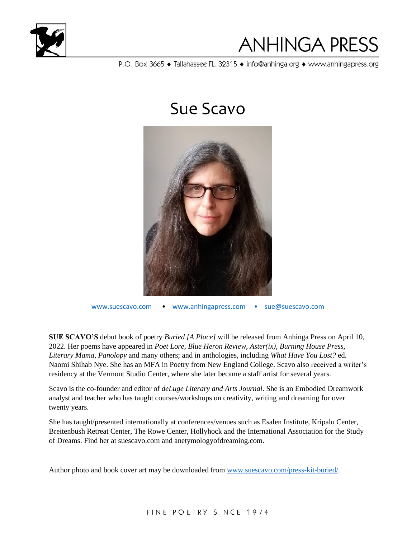

P.O. Box 3665 • Tallahassee FL. 32315 • info@anhinga.org • www.anhingapress.org

### Sue Scavo



[www.suescavo.com](http://www.suescavo.com/) • [www.anhingapress.com](http://www.anhingapress.com/) • [sue@suescavo.com](mailto:sue@suescavo.com)

**SUE SCAVO'S** debut book of poetry *Buried [A Place]* will be released from Anhinga Press on April 10, 2022. Her poems have appeared in *Poet Lore, Blue Heron Review, Aster(ix), Burning House Press, Literary Mama, Panolopy* and many others; and in anthologies, including *What Have You Lost?* ed. Naomi Shihab Nye. She has an MFA in Poetry from New England College. Scavo also received a writer's residency at the Vermont Studio Center, where she later became a staff artist for several years.

Scavo is the co-founder and editor of *deLuge Literary and Arts Journal*. She is an Embodied Dreamwork analyst and teacher who has taught courses/workshops on creativity, writing and dreaming for over twenty years.

She has taught/presented internationally at conferences/venues such as Esalen Institute, Kripalu Center, Breitenbush Retreat Center, The Rowe Center, Hollyhock and the International Association for the Study of Dreams. Find her at suescavo.com and anetymologyofdreaming.com.

Author photo and book cover art may be downloaded from [www.suescavo.com/press-kit-buried/.](http://www.suescavo.com/press-kit-buried/)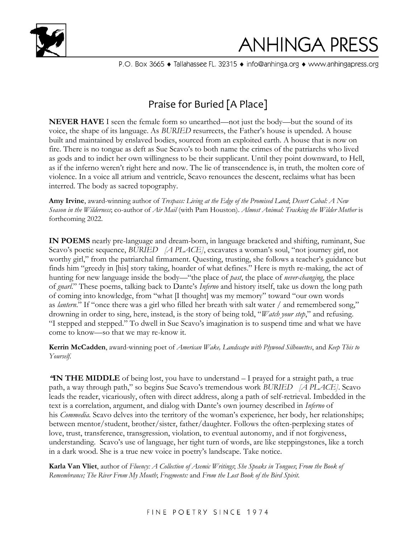

P.O. Box 3665 · Tallahassee FL. 32315 · info@anhinga.org · www.anhingapress.org

### Praise for Buried [A Place]

**NEVER HAVE** I seen the female form so unearthed—not just the body—but the sound of its voice, the shape of its language. As *BURIED* resurrects, the Father's house is upended. A house built and maintained by enslaved bodies, sourced from an exploited earth. A house that is now on fire. There is no tongue as deft as Sue Scavo's to both name the crimes of the patriarchs who lived as gods and to indict her own willingness to be their supplicant. Until they point downward, to Hell, as if the inferno weren't right here and now. The lie of transcendence is, in truth, the molten core of violence. In a voice all atrium and ventricle, Scavo renounces the descent, reclaims what has been interred. The body as sacred topography.

**Amy Irvine**, award-winning author of *Trespass: Living at the Edge of the Promised Land*; *Desert Cabal: A New Season in the Wilderness*; co-author of *Air Mail* (with Pam Houston). *Almost Animal: Tracking the Wilder Mother* is forthcoming 2022.

**IN POEMS** nearly pre-language and dream-born, in language bracketed and shifting, ruminant, Sue Scavo's poetic sequence, *BURIED* [A PLACE], excavates a woman's soul, "not journey girl, not worthy girl," from the patriarchal firmament. Questing, trusting, she follows a teacher's guidance but finds him "greedy in [his] story taking, hoarder of what defines." Here is myth re-making, the act of hunting for new language inside the body—"the place of *past*, the place of *never-changing*, the place of *gnarl*." These poems, talking back to Dante's *Inferno* and history itself, take us down the long path of coming into knowledge, from "what [I thought] was my memory" toward "our own words as *lantern*." If "once there was a girl who filled her breath with salt water / and remembered song," drowning in order to sing, here, instead, is the story of being told, "*Watch your step*," and refusing. "I stepped and stepped." To dwell in Sue Scavo's imagination is to suspend time and what we have come to know—so that we may re-know it.

**Kerrin McCadden**, award-winning poet of *American Wake, Landscape with Plywood Silhouettes*, and *Keep This to Yourself*.

**"IN THE MIDDLE** of being lost, you have to understand – I prayed for a straight path, a true path, a way through path," so begins Sue Scavo's tremendous work *BURIED [A PLACE]*. Scavo leads the reader, vicariously, often with direct address, along a path of self-retrieval. Imbedded in the text is a correlation, argument, and dialog with Dante's own journey described in *Inferno* of his *Commedia.* Scavo delves into the territory of the woman's experience, her body, her relationships; between mentor/student, brother/sister, father/daughter. Follows the often-perplexing states of love, trust, transference, transgression, violation, to eventual autonomy, and if not forgiveness, understanding. Scavo's use of language, her tight turn of words, are like steppingstones, like a torch in a dark wood. She is a true new voice in poetry's landscape. Take notice.

**Karla Van Vliet**, author of *Fluency: A Collection of Asemic Writings*; *She Speaks in Tongues*; *From the Book of Remembrance; The River From My Mouth*; *Fragments:* and *From the Lost Book of the Bird Spirit*.